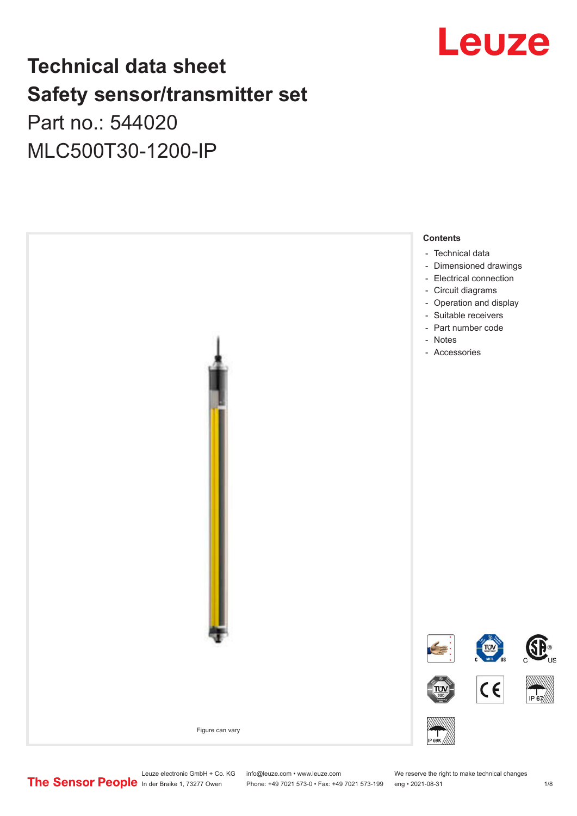

## **Technical data sheet Safety sensor/transmitter set**

Part no.: 544020 MLC500T30-1200-IP



Leuze electronic GmbH + Co. KG info@leuze.com • www.leuze.com We reserve the right to make technical changes<br>
The Sensor People in der Braike 1, 73277 Owen Phone: +49 7021 573-0 • Fax: +49 7021 573-199 eng • 2021-08-31

Phone: +49 7021 573-0 • Fax: +49 7021 573-199 eng • 2021-08-31 1 2021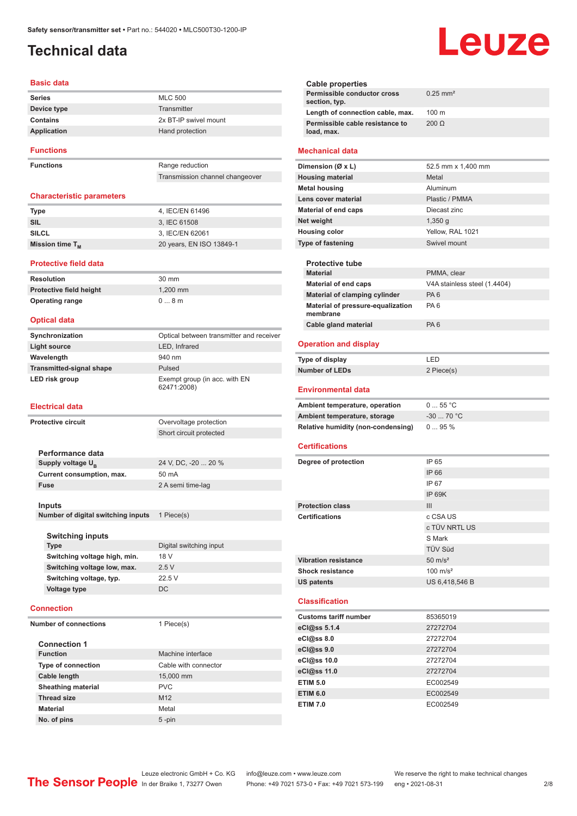### <span id="page-1-0"></span>**Technical data**

### **Basic data**

| <b>Series</b>    | <b>MLC 500</b>        |
|------------------|-----------------------|
| Device type      | Transmitter           |
| Contains         | 2x BT-IP swivel mount |
| Application      | Hand protection       |
| <b>Functions</b> |                       |

**Functions** Range reduction

Transmission channel changeover

### **Characteristic parameters**

| Type                        | 4, IEC/EN 61496          |
|-----------------------------|--------------------------|
| SIL                         | 3. IEC 61508             |
| <b>SILCL</b>                | 3. IEC/EN 62061          |
| Mission time T <sub>M</sub> | 20 years, EN ISO 13849-1 |

#### **Protective field data**

**Resolution** 30 mm **Protective field height** 1,200 mm **Operating range** 0 ... 8 m

### **Optical data**

| Synchronization                 | Optical between transmitter and receiver     |
|---------------------------------|----------------------------------------------|
| Light source                    | LED, Infrared                                |
| Wavelength                      | 940 nm                                       |
| <b>Transmitted-signal shape</b> | Pulsed                                       |
| LED risk group                  | Exempt group (in acc. with EN<br>62471:2008) |

### **Electrical data**

| <b>Protective circuit</b> |                                    | Overvoltage protection  |
|---------------------------|------------------------------------|-------------------------|
|                           |                                    | Short circuit protected |
|                           |                                    |                         |
|                           | Performance data                   |                         |
|                           | Supply voltage U <sub>R</sub>      | 24 V, DC, -20  20 %     |
|                           | Current consumption, max.          | 50 mA                   |
|                           | <b>Fuse</b>                        | 2 A semi time-lag       |
|                           |                                    |                         |
|                           | Inputs                             |                         |
|                           | Number of digital switching inputs | 1 Piece(s)              |
|                           |                                    |                         |
|                           | <b>Switching inputs</b>            |                         |
|                           | <b>Type</b>                        | Digital switching input |
|                           | Switching voltage high, min.       | 18 V                    |
|                           | Switching voltage low, max.        | 2.5V                    |
|                           | Switching voltage, typ.            | 22.5 V                  |
|                           | <b>Voltage type</b>                | <b>DC</b>               |
|                           |                                    |                         |
|                           | <b>Connection</b>                  |                         |
|                           | <b>Number of connections</b>       | 1 Piece(s)              |
|                           |                                    |                         |
|                           | <b>Connection 1</b>                |                         |
|                           | <b>Function</b>                    | Machine interface       |
|                           | <b>Type of connection</b>          | Cable with connector    |
|                           |                                    |                         |

| <b>Type of connection</b> | Cable with connector |
|---------------------------|----------------------|
| Cable length              | 15,000 mm            |
| <b>Sheathing material</b> | <b>PVC</b>           |
| <b>Thread size</b>        | M <sub>12</sub>      |
| <b>Material</b>           | Metal                |
| No. of pins               | $5$ -pin             |
|                           |                      |

### **Cable properties Permissible conductor cross section, typ.** 0.25 mm² **Length of connection cable, max.** 100 m **Permissible cable resistance to load, max.** 200 Ω **Mechanical data Dimension (Ø x L)** 52.5 mm x 1,400 mm **Housing material** Metal **Metal housing Aluminum Lens cover material Community Contract Plastic / PMMA Material of end caps** Diecast zinc **Net weight** 1,350 g **Housing color** Yellow, RAL 1021 **Type of fastening** Swivel mount **Protective tube PMMA** clear **Material of end caps** V4A stainless steel (1.4404) **Material of clamping cylinder** PA 6 **Material of pressure-equalization membrane** PA 6 **Cable gland material** PA 6 **Operation and display Type of display** LED **Number of LEDs** 2 Piece(s) **Environmental data** Ambient temperature, operation 0 ... 55 °C **Ambient temperature, storage** -30 ... 70 °C **Relative humidity (non-condensing)** 0 ... 95 % **Certifications Degree of protection** IP 65 IP 66 IP 67 IP 69K **Protection class III Certifications** c CSA US c TÜV NRTL US S Mark TÜV Süd **Vibration resistance** 50 m/s<sup>2</sup> **Shock resistance** 100 m/s<sup>2</sup> **US patents** US 6,418,546 B

Leuze

### **Classification**

| <b>Customs tariff number</b> | 85365019 |
|------------------------------|----------|
| eCl@ss 5.1.4                 | 27272704 |
| eCl@ss 8.0                   | 27272704 |
| eCl@ss 9.0                   | 27272704 |
| eCl@ss 10.0                  | 27272704 |
| eCl@ss 11.0                  | 27272704 |
| <b>ETIM 5.0</b>              | EC002549 |
| <b>ETIM 6.0</b>              | EC002549 |
| <b>ETIM 7.0</b>              | EC002549 |

Leuze electronic GmbH + Co. KG info@leuze.com • www.leuze.com We reserve the right to make technical changes<br>
The Sensor People in der Braike 1, 73277 Owen Phone: +49 7021 573-0 • Fax: +49 7021 573-199 eng • 2021-08-31 Phone: +49 7021 573-0 • Fax: +49 7021 573-199 eng • 2021-08-31 2/8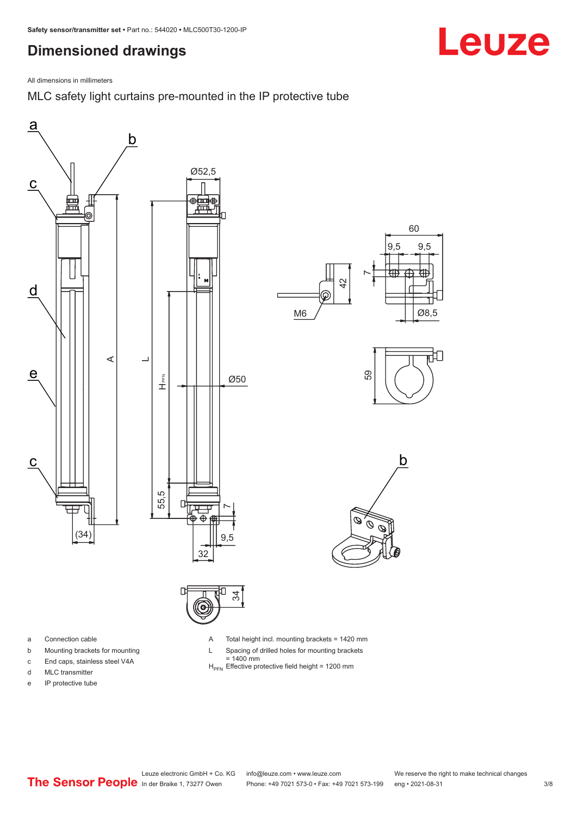## <span id="page-2-0"></span>**Dimensioned drawings**

All dimensions in millimeters

MLC safety light curtains pre-mounted in the IP protective tube





- a Connection cable
- b Mounting brackets for mounting
- c End caps, stainless steel V4A
- d MLC transmitter
- e IP protective tube

A Total height incl. mounting brackets = 1420 mm

- L Spacing of drilled holes for mounting brackets
- = 1400 mm<br>H<sub>PFN</sub> Effective protective field height = 1200 mm

Leuze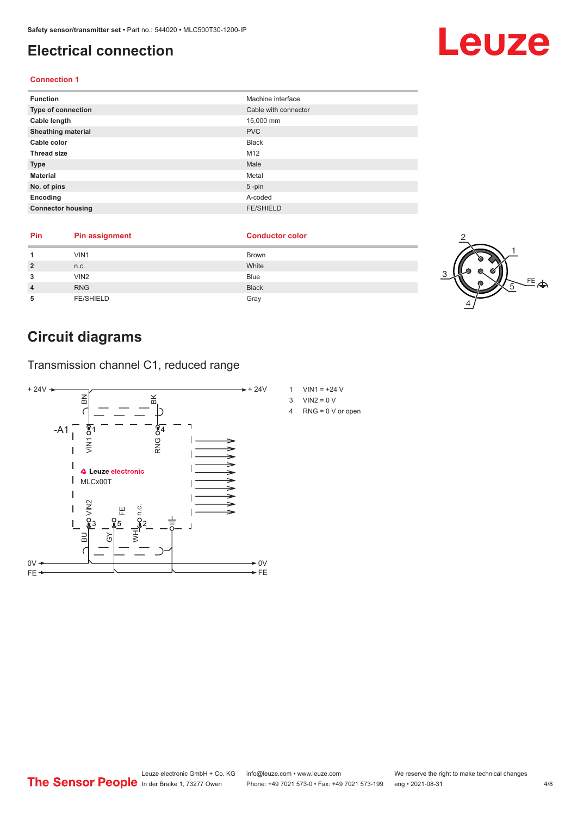### <span id="page-3-0"></span>**Electrical connection**

### **Connection 1**

| <b>Function</b>           | Machine interface    |
|---------------------------|----------------------|
| Type of connection        | Cable with connector |
| Cable length              | 15,000 mm            |
| <b>Sheathing material</b> | <b>PVC</b>           |
| Cable color               | <b>Black</b>         |
| <b>Thread size</b>        | M12                  |
| <b>Type</b>               | Male                 |
| <b>Material</b>           | Metal                |
| No. of pins               | $5$ -pin             |
| Encoding                  | A-coded              |
| <b>Connector housing</b>  | <b>FE/SHIELD</b>     |

| Pin | <b>Pin assignment</b> | <b>Conductor color</b> |  |
|-----|-----------------------|------------------------|--|
|     | VIN1                  | <b>Brown</b>           |  |
|     | n.c.                  | White                  |  |
|     | VIN <sub>2</sub>      | <b>Blue</b>            |  |
|     | <b>RNG</b>            | <b>Black</b>           |  |
|     | <b>FE/SHIELD</b>      | Gray                   |  |

## **Circuit diagrams**

Transmission channel C1, reduced range



- 1 VIN1 =  $+24$  V
- $3$  VIN2 = 0 V
- 4 RNG = 0 V or open

# Leuze

 $E_{\bigoplus}$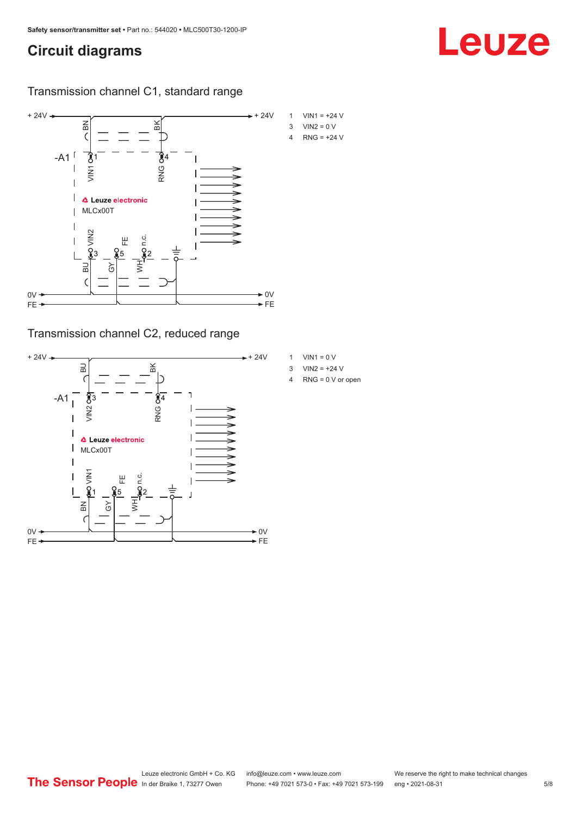### **Circuit diagrams**

Transmission channel C1, standard range



Transmission channel C2, reduced range



- 1 VIN1 =  $0 V$
- 3  $VIN2 = +24 V$
- 4 RNG = 0 V or open

Leuze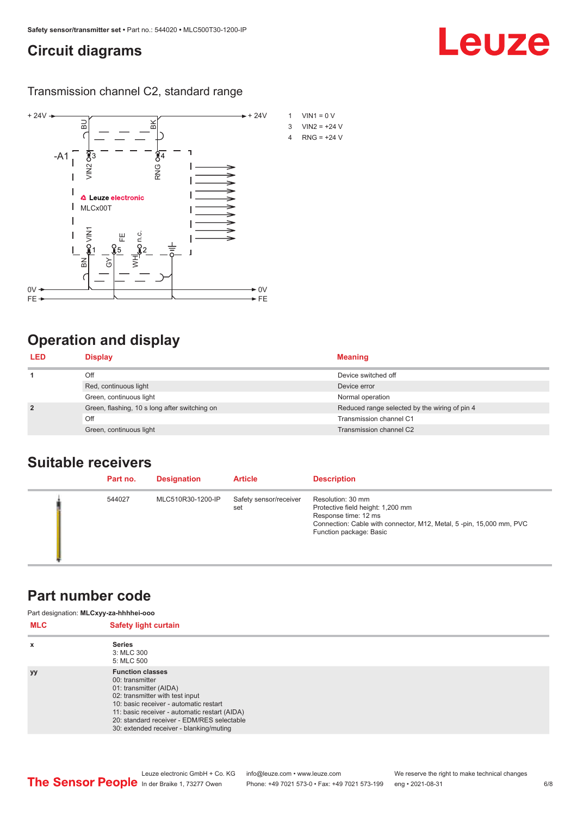### <span id="page-5-0"></span>**Circuit diagrams**

Transmission channel C2, standard range



## **Operation and display**

| <b>LED</b>     | <b>Display</b>                                | <b>Meaning</b>                                |
|----------------|-----------------------------------------------|-----------------------------------------------|
|                | Off                                           | Device switched off                           |
|                | Red, continuous light                         | Device error                                  |
|                | Green, continuous light                       | Normal operation                              |
| $\overline{2}$ | Green, flashing, 10 s long after switching on | Reduced range selected by the wiring of pin 4 |
|                | Off                                           | Transmission channel C1                       |
|                | Green, continuous light                       | Transmission channel C2                       |

### **Suitable receivers**

| Part no. | <b>Designation</b> | <b>Article</b>                | <b>Description</b>                                                                                                                                                               |
|----------|--------------------|-------------------------------|----------------------------------------------------------------------------------------------------------------------------------------------------------------------------------|
| 544027   | MLC510R30-1200-IP  | Safety sensor/receiver<br>set | Resolution: 30 mm<br>Protective field height: 1,200 mm<br>Response time: 12 ms<br>Connection: Cable with connector, M12, Metal, 5-pin, 15,000 mm, PVC<br>Function package: Basic |

### **Part number code**

| <b>MLC</b> | Part designation: MLCxyy-za-hhhhei-ooo<br><b>Safety light curtain</b>                                                                                                                                                                                                                       |  |
|------------|---------------------------------------------------------------------------------------------------------------------------------------------------------------------------------------------------------------------------------------------------------------------------------------------|--|
| x          | <b>Series</b><br>3: MLC 300<br>5: MLC 500                                                                                                                                                                                                                                                   |  |
| <b>yy</b>  | <b>Function classes</b><br>00: transmitter<br>01: transmitter (AIDA)<br>02: transmitter with test input<br>10: basic receiver - automatic restart<br>11: basic receiver - automatic restart (AIDA)<br>20: standard receiver - EDM/RES selectable<br>30: extended receiver - blanking/muting |  |

Leuze

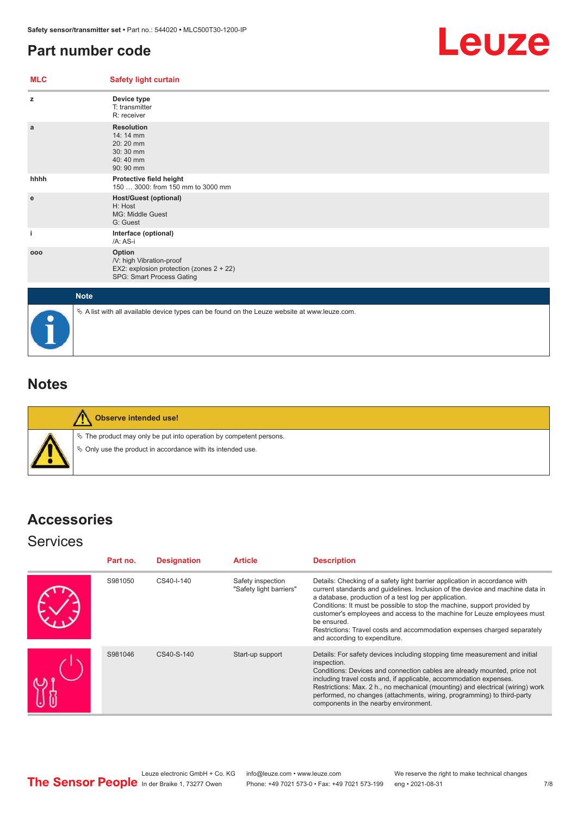## <span id="page-6-0"></span>**Part number code**



| <b>MLC</b> | <b>Safety light curtain</b>                                                                                 |
|------------|-------------------------------------------------------------------------------------------------------------|
| z          | Device type<br>T: transmitter<br>R: receiver                                                                |
| a          | <b>Resolution</b><br>14: 14 mm<br>20:20 mm<br>30:30 mm<br>40:40 mm<br>90: 90 mm                             |
| hhhh       | Protective field height<br>150  3000: from 150 mm to 3000 mm                                                |
| e          | <b>Host/Guest (optional)</b><br>H: Host<br>MG: Middle Guest<br>G: Guest                                     |
| j.         | Interface (optional)<br>/A: AS-i                                                                            |
| 000        | Option<br>/V: high Vibration-proof<br>EX2: explosion protection (zones 2 + 22)<br>SPG: Smart Process Gating |
|            | <b>Note</b>                                                                                                 |
|            | $\&$ A list with all available device types can be found on the Leuze website at www.leuze.com.             |

## **Notes**

**Observe intended use!**  $\%$  The product may only be put into operation by competent persons.  $\%$  Only use the product in accordance with its intended use.

## **Accessories**

### **Services**

| Part no. | <b>Designation</b> | <b>Article</b>                               | <b>Description</b>                                                                                                                                                                                                                                                                                                                                                                                                                                                                                      |
|----------|--------------------|----------------------------------------------|---------------------------------------------------------------------------------------------------------------------------------------------------------------------------------------------------------------------------------------------------------------------------------------------------------------------------------------------------------------------------------------------------------------------------------------------------------------------------------------------------------|
| S981050  | CS40-I-140         | Safety inspection<br>"Safety light barriers" | Details: Checking of a safety light barrier application in accordance with<br>current standards and quidelines. Inclusion of the device and machine data in<br>a database, production of a test log per application.<br>Conditions: It must be possible to stop the machine, support provided by<br>customer's employees and access to the machine for Leuze employees must<br>be ensured.<br>Restrictions: Travel costs and accommodation expenses charged separately<br>and according to expenditure. |
| S981046  | CS40-S-140         | Start-up support                             | Details: For safety devices including stopping time measurement and initial<br>inspection.<br>Conditions: Devices and connection cables are already mounted, price not<br>including travel costs and, if applicable, accommodation expenses.<br>Restrictions: Max. 2 h., no mechanical (mounting) and electrical (wiring) work<br>performed, no changes (attachments, wiring, programming) to third-party<br>components in the nearby environment.                                                      |